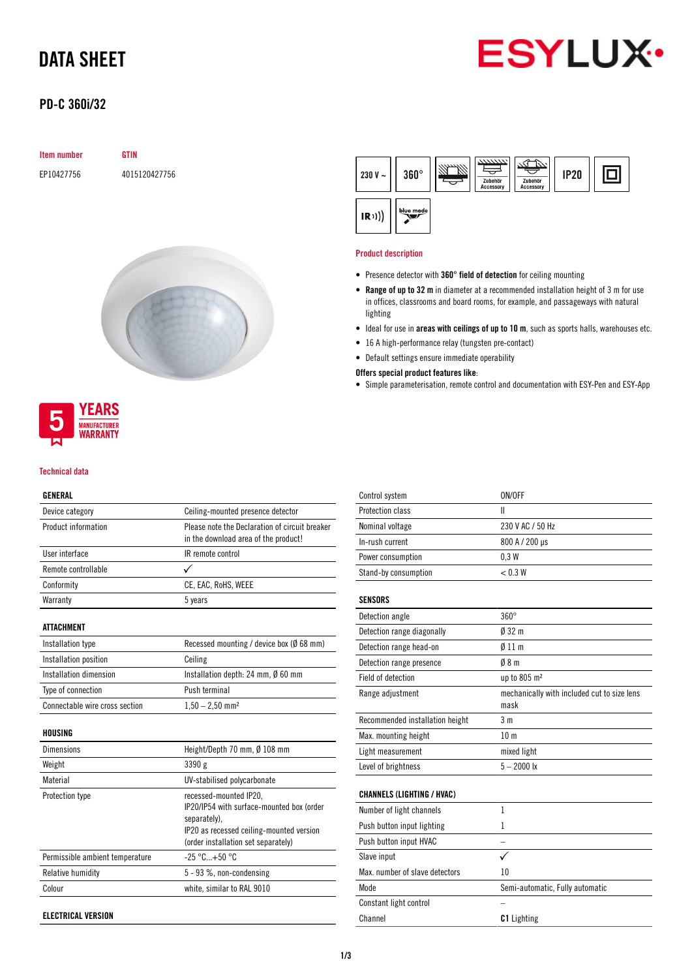# DATA SHEET



# PD-C 360i/32

| <b>Item number</b> | <b>GTIN</b>   |
|--------------------|---------------|
| EP10427756         | 4015120427756 |





### Technical data

## GENERAL

| Device category                 | Ceiling-mounted presence detector                                               |
|---------------------------------|---------------------------------------------------------------------------------|
| Product information             | Please note the Declaration of circuit breaker                                  |
|                                 | in the download area of the product!                                            |
| User interface                  | IR remote control                                                               |
| Remote controllable             |                                                                                 |
| Conformity                      | CE, EAC, RoHS, WEEE                                                             |
| Warranty                        | 5 years                                                                         |
| ATTACHMENT                      |                                                                                 |
| Installation type               | Recessed mounting / device box (Ø 68 mm)                                        |
| Installation position           | Ceiling                                                                         |
| Installation dimension          | Installation depth: 24 mm, Ø 60 mm                                              |
| Type of connection              | Push terminal                                                                   |
| Connectable wire cross section  | $1,50 - 2,50$ mm <sup>2</sup>                                                   |
| HOUSING                         |                                                                                 |
| <b>Dimensions</b>               | Height/Depth 70 mm, Ø 108 mm                                                    |
| Weight                          | 3390 g                                                                          |
| Material                        | UV-stabilised polycarbonate                                                     |
| Protection type                 | recessed-mounted IP20,                                                          |
|                                 | IP20/IP54 with surface-mounted box (order                                       |
|                                 | separately).                                                                    |
|                                 | IP20 as recessed ceiling-mounted version<br>(order installation set separately) |
|                                 | $-25 °C+50 °C$                                                                  |
| Permissible ambient temperature |                                                                                 |
| Relative humidity               | 5 - 93 %, non-condensing                                                        |

Colour white, similar to RAL 9010

ELECTRICAL VERSION



### Product description

- Presence detector with 360° field of detection for ceiling mounting
- Range of up to 32 m in diameter at a recommended installation height of 3 m for use in offices, classrooms and board rooms, for example, and passageways with natural lighting
- Ideal for use in areas with ceilings of up to 10 m, such as sports halls, warehouses etc.
- 16 A high-performance relay (tungsten pre-contact)
- Default settings ensure immediate operability

Offers special product features like:

• Simple parameterisation, remote control and documentation with ESY-Pen and ESY-App

| Control system                    | ON/OFF                                              |
|-----------------------------------|-----------------------------------------------------|
| Protection class                  | Ш                                                   |
| Nominal voltage                   | 230 V AC / 50 Hz                                    |
| In-rush current                   | 800 A / 200 µs                                      |
| Power consumption                 | 0.3W                                                |
| Stand-by consumption              | < 0.3 W                                             |
| SENSORS                           |                                                     |
| Detection angle                   | $360^\circ$                                         |
| Detection range diagonally        | $0.32 \text{ m}$                                    |
| Detection range head-on           | $011 \text{ m}$                                     |
| Detection range presence          | 08 <sub>m</sub>                                     |
| <b>Field of detection</b>         | up to 805 m <sup>2</sup>                            |
| Range adjustment                  | mechanically with included cut to size lens<br>mask |
| Recommended installation height   | 3 <sub>m</sub>                                      |
| Max. mounting height              | 10 <sub>m</sub>                                     |
| Light measurement                 | mixed light                                         |
| Level of brightness               | $5 - 2000$ lx                                       |
| <b>CHANNELS (LIGHTING / HVAC)</b> |                                                     |
| Number of light channels          | $\mathbf{1}$                                        |
| Push button input lighting        | 1                                                   |
| Push button input HVAC            |                                                     |
| Slave input                       | $\checkmark$                                        |
| Max, number of slave detectors    | 10                                                  |
| Mode                              | Semi-automatic, Fully automatic                     |
| Constant light control            |                                                     |
| Channel                           | <b>C1</b> Lighting                                  |
|                                   |                                                     |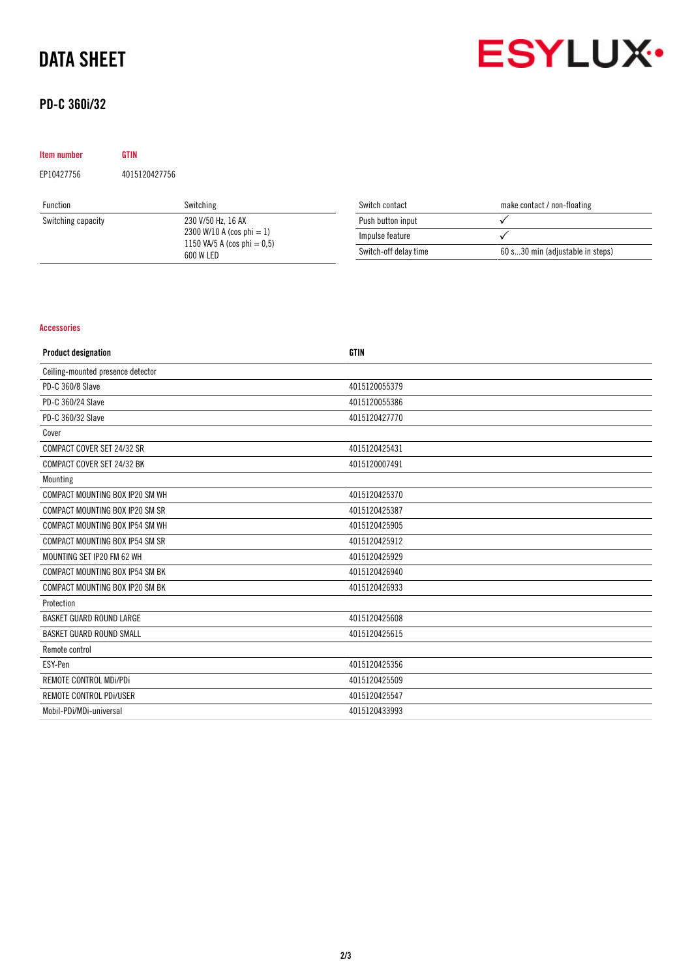# DATA SHEET

# PD-C 360i/32



| Item number                  | <b>GTIN</b>        |                   |                             |  |
|------------------------------|--------------------|-------------------|-----------------------------|--|
| EP10427756                   | 4015120427756      |                   |                             |  |
| Function                     | Switching          | Switch contact    | make contact / non-floating |  |
| Switching capacity           | 230 V/50 Hz, 16 AX | Push button input |                             |  |
| 2300 W/10 A (cos phi $= 1$ ) | Impulse feature    |                   |                             |  |

 $Impulse$  feature  $\checkmark$ 

Switch-off delay time 60 s...30 min (adjustable in steps)

1150 VA/5 A (cos phi =  $0,5$ )

600 W LED

## Accessories

| <b>Product designation</b>        | <b>GTIN</b>   |
|-----------------------------------|---------------|
| Ceiling-mounted presence detector |               |
| PD-C 360/8 Slave                  | 4015120055379 |
| PD-C 360/24 Slave                 | 4015120055386 |
| PD-C 360/32 Slave                 | 4015120427770 |
| Cover                             |               |
| COMPACT COVER SET 24/32 SR        | 4015120425431 |
| COMPACT COVER SET 24/32 BK        | 4015120007491 |
| Mounting                          |               |
| COMPACT MOUNTING BOX IP20 SM WH   | 4015120425370 |
| COMPACT MOUNTING BOX IP20 SM SR   | 4015120425387 |
| COMPACT MOUNTING BOX IP54 SM WH   | 4015120425905 |
| COMPACT MOUNTING BOX IP54 SM SR   | 4015120425912 |
| MOUNTING SET IP20 FM 62 WH        | 4015120425929 |
| COMPACT MOUNTING BOX IP54 SM BK   | 4015120426940 |
| COMPACT MOUNTING BOX IP20 SM BK   | 4015120426933 |
| Protection                        |               |
| <b>BASKET GUARD ROUND LARGE</b>   | 4015120425608 |
| <b>BASKET GUARD ROUND SMALL</b>   | 4015120425615 |
| Remote control                    |               |
| ESY-Pen                           | 4015120425356 |
| REMOTE CONTROL MDi/PDi            | 4015120425509 |
| REMOTE CONTROL PDi/USER           | 4015120425547 |
| Mobil-PDi/MDi-universal           | 4015120433993 |